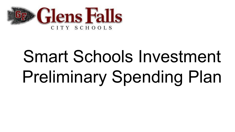

# Smart Schools Investment Preliminary Spending Plan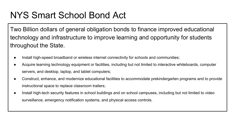# NYS Smart School Bond Act

Two Billion dollars of general obligation bonds to finance improved educational technology and infrastructure to improve learning and opportunity for students throughout the State.

- Install high-speed broadband or wireless internet connectivity for schools and communities;
- Acquire learning technology equipment or facilities, including but not limited to interactive whiteboards, computer servers, and desktop, laptop, and tablet computers;
- Construct, enhance, and modernize educational facilities to accommodate prekindergarten programs and to provide instructional space to replace classroom trailers;
- Install high-tech security features in school buildings and on school campuses, including but not limited to video surveillance, emergency notification systems, and physical access controls.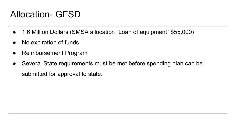# Allocation- GFSD

- 1.6 Million Dollars (SMSA allocation "Loan of equipment" \$55,000)
- No expiration of funds
- **Reimbursement Program**
- Several State requirements must be met before spending plan can be submitted for approval to state.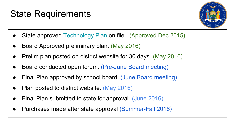# State Requirements



- State approved [Technology Plan](http://www.gfsd.org/district/tech/files/smartschoolsprelimspendingplan.pdf) on file. (Approved Dec 2015)
- Board Approved preliminary plan. (May 2016)
- Prelim plan posted on district website for 30 days. (May 2016)
- Board conducted open forum. (Pre-June Board meeting)
- Final Plan approved by school board. (June Board meeting)
- Plan posted to district website. (May 2016)
- Final Plan submitted to state for approval. (June 2016)
- Purchases made after state approval (Summer-Fall 2016)